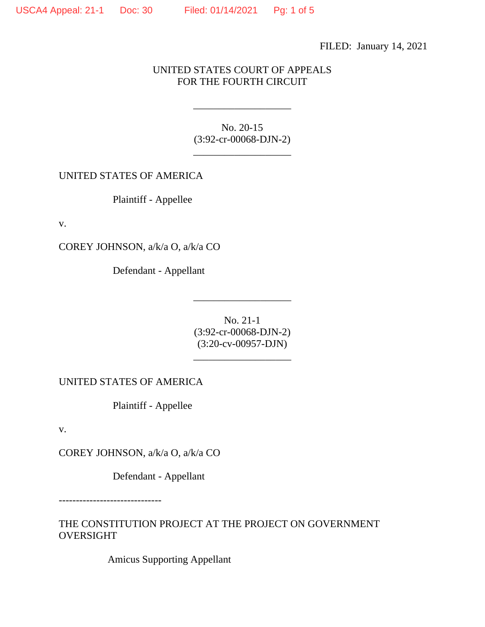FILED: January 14, 2021

UNITED STATES COURT OF APPEALS FOR THE FOURTH CIRCUIT

> No. 20-15 (3:92-cr-00068-DJN-2)

\_\_\_\_\_\_\_\_\_\_\_\_\_\_\_\_\_\_\_

\_\_\_\_\_\_\_\_\_\_\_\_\_\_\_\_\_\_\_

UNITED STATES OF AMERICA

Plaintiff - Appellee

v.

COREY JOHNSON, a/k/a O, a/k/a CO

Defendant - Appellant

No. 21-1 (3:92-cr-00068-DJN-2) (3:20-cv-00957-DJN)

\_\_\_\_\_\_\_\_\_\_\_\_\_\_\_\_\_\_\_

\_\_\_\_\_\_\_\_\_\_\_\_\_\_\_\_\_\_\_

UNITED STATES OF AMERICA

Plaintiff - Appellee

v.

COREY JOHNSON, a/k/a O, a/k/a CO

Defendant - Appellant

------------------------------

THE CONSTITUTION PROJECT AT THE PROJECT ON GOVERNMENT OVERSIGHT

Amicus Supporting Appellant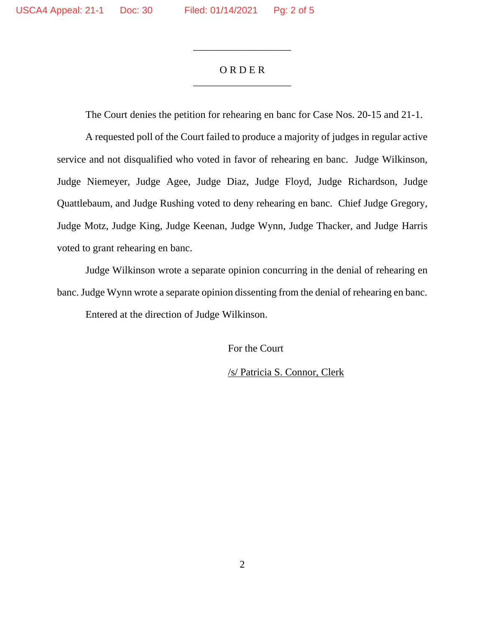## O R D E R \_\_\_\_\_\_\_\_\_\_\_\_\_\_\_\_\_\_\_

\_\_\_\_\_\_\_\_\_\_\_\_\_\_\_\_\_\_\_

The Court denies the petition for rehearing en banc for Case Nos. 20-15 and 21-1.

A requested poll of the Court failed to produce a majority of judges in regular active service and not disqualified who voted in favor of rehearing en banc. Judge Wilkinson, Judge Niemeyer, Judge Agee, Judge Diaz, Judge Floyd, Judge Richardson, Judge Quattlebaum, and Judge Rushing voted to deny rehearing en banc. Chief Judge Gregory, Judge Motz, Judge King, Judge Keenan, Judge Wynn, Judge Thacker, and Judge Harris voted to grant rehearing en banc.

Judge Wilkinson wrote a separate opinion concurring in the denial of rehearing en banc. Judge Wynn wrote a separate opinion dissenting from the denial of rehearing en banc. Entered at the direction of Judge Wilkinson.

For the Court

/s/ Patricia S. Connor, Clerk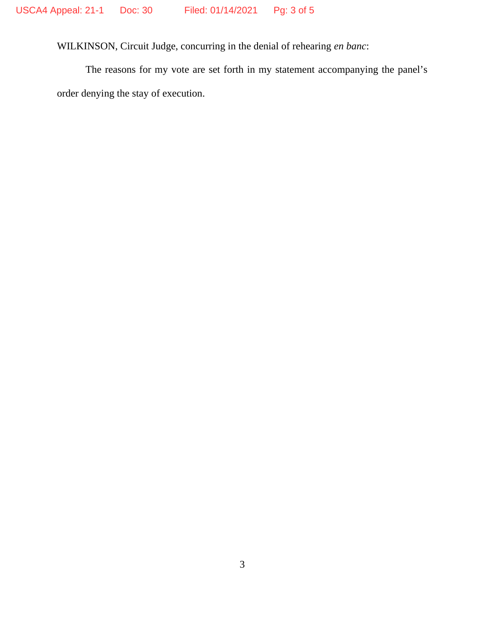WILKINSON, Circuit Judge, concurring in the denial of rehearing *en banc*:

The reasons for my vote are set forth in my statement accompanying the panel's order denying the stay of execution.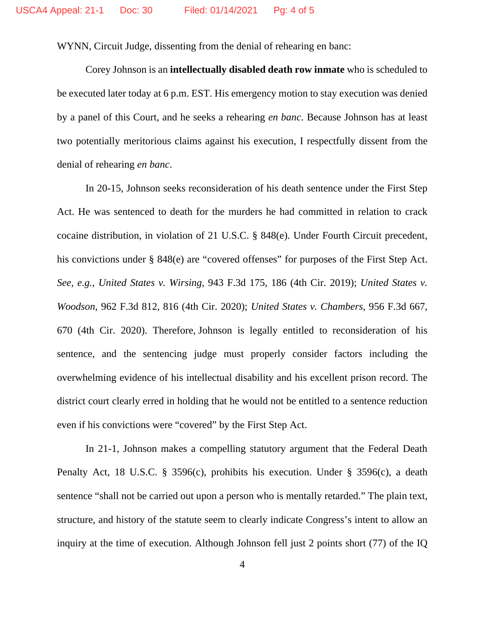WYNN, Circuit Judge, dissenting from the denial of rehearing en banc:

Corey Johnson is an **intellectually disabled death row inmate** who is scheduled to be executed later today at 6 p.m. EST. His emergency motion to stay execution was denied by a panel of this Court, and he seeks a rehearing *en banc*. Because Johnson has at least two potentially meritorious claims against his execution, I respectfully dissent from the denial of rehearing *en banc*.

In 20-15, Johnson seeks reconsideration of his death sentence under the First Step Act. He was sentenced to death for the murders he had committed in relation to crack cocaine distribution, in violation of 21 U.S.C. § 848(e). Under Fourth Circuit precedent, his convictions under § 848(e) are "covered offenses" for purposes of the First Step Act. *See, e.g.*, *United States v. Wirsing*, 943 F.3d 175, 186 (4th Cir. 2019); *United States v. Woodson*, 962 F.3d 812, 816 (4th Cir. 2020); *United States v. Chambers*, 956 F.3d 667, 670 (4th Cir. 2020). Therefore, Johnson is legally entitled to reconsideration of his sentence, and the sentencing judge must properly consider factors including the overwhelming evidence of his intellectual disability and his excellent prison record. The district court clearly erred in holding that he would not be entitled to a sentence reduction even if his convictions were "covered" by the First Step Act.

In 21-1, Johnson makes a compelling statutory argument that the Federal Death Penalty Act, 18 U.S.C. § 3596(c), prohibits his execution. Under § 3596(c), a death sentence "shall not be carried out upon a person who is mentally retarded." The plain text, structure, and history of the statute seem to clearly indicate Congress's intent to allow an inquiry at the time of execution. Although Johnson fell just 2 points short (77) of the IQ